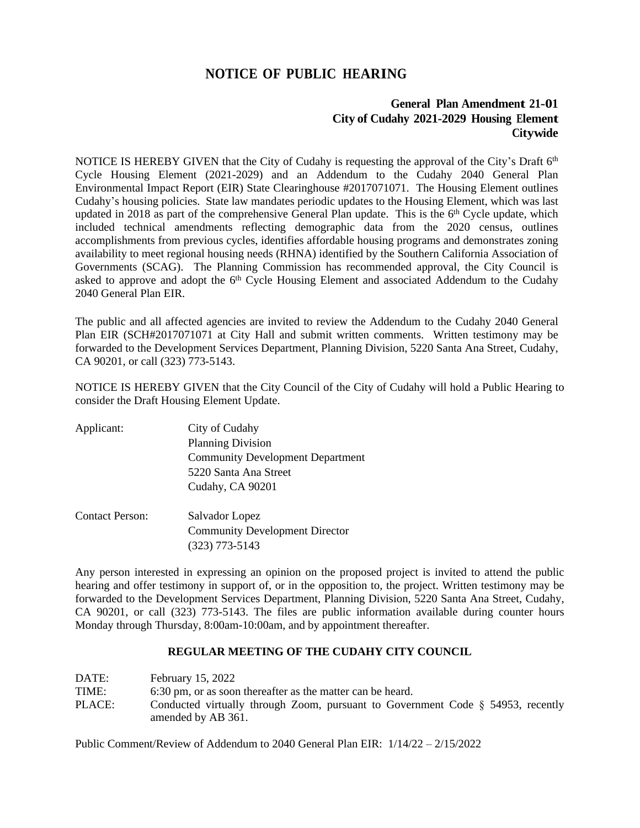## **NOTICE OF PUBLIC HEARING**

## **General Plan Amendment 21-01 City of Cudahy 2021-2029 Housing Element Citywide**

NOTICE IS HEREBY GIVEN that the City of Cudahy is requesting the approval of the City's Draft 6<sup>th</sup> Cycle Housing Element (2021-2029) and an Addendum to the Cudahy 2040 General Plan Environmental Impact Report (EIR) State Clearinghouse #2017071071. The Housing Element outlines Cudahy's housing policies. State law mandates periodic updates to the Housing Element, which was last updated in 2018 as part of the comprehensive General Plan update. This is the 6<sup>th</sup> Cycle update, which included technical amendments reflecting demographic data from the 2020 census, outlines accomplishments from previous cycles, identifies affordable housing programs and demonstrates zoning availability to meet regional housing needs (RHNA) identified by the Southern California Association of Governments (SCAG). The Planning Commission has recommended approval, the City Council is asked to approve and adopt the 6<sup>th</sup> Cycle Housing Element and associated Addendum to the Cudahy 2040 General Plan EIR.

The public and all affected agencies are invited to review the Addendum to the Cudahy 2040 General Plan EIR (SCH#2017071071 at City Hall and submit written comments. Written testimony may be forwarded to the Development Services Department, Planning Division, 5220 Santa Ana Street, Cudahy, CA 90201, or call (323) 773-5143.

NOTICE IS HEREBY GIVEN that the City Council of the City of Cudahy will hold a Public Hearing to consider the Draft Housing Element Update.

| Applicant:             | City of Cudahy                          |
|------------------------|-----------------------------------------|
|                        | <b>Planning Division</b>                |
|                        | <b>Community Development Department</b> |
|                        | 5220 Santa Ana Street                   |
|                        | Cudahy, CA 90201                        |
| <b>Contact Person:</b> | Salvador Lopez                          |
|                        | <b>Community Development Director</b>   |
|                        | $(323)$ 773-5143                        |

Any person interested in expressing an opinion on the proposed project is invited to attend the public hearing and offer testimony in support of, or in the opposition to, the project. Written testimony may be forwarded to the Development Services Department, Planning Division, 5220 Santa Ana Street, Cudahy, CA 90201, or call (323) 773-5143. The files are public information available during counter hours Monday through Thursday, 8:00am-10:00am, and by appointment thereafter.

## **REGULAR MEETING OF THE CUDAHY CITY COUNCIL**

| DATE:  | February 15, 2022                                                                  |
|--------|------------------------------------------------------------------------------------|
| TIME:  | 6:30 pm, or as soon thereafter as the matter can be heard.                         |
| PLACE: | Conducted virtually through Zoom, pursuant to Government Code $\S$ 54953, recently |
|        | amended by AB 361.                                                                 |

Public Comment/Review of Addendum to 2040 General Plan EIR: 1/14/22 – 2/15/2022